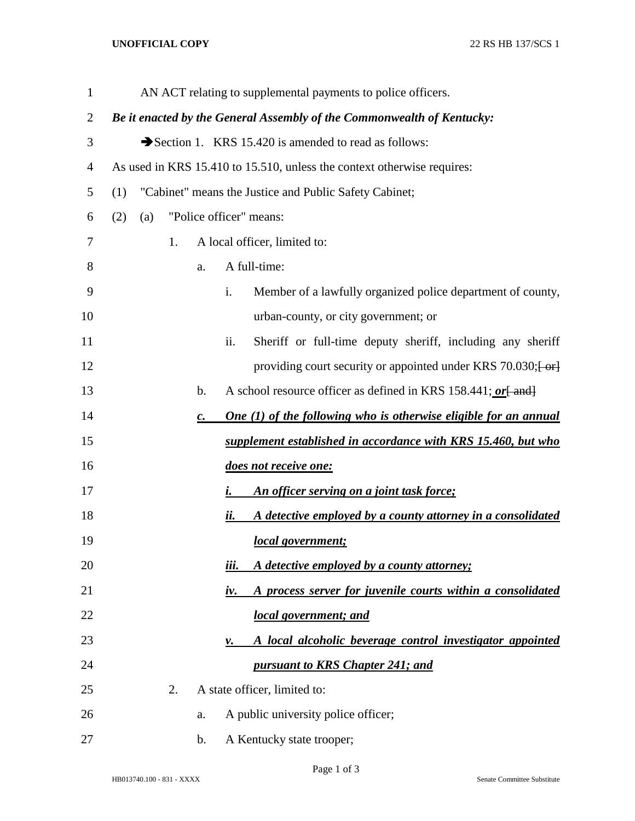## **UNOFFICIAL COPY** 22 RS HB 137/SCS 1

| $\mathbf{1}$ |     |     |    |                | AN ACT relating to supplemental payments to police officers.             |
|--------------|-----|-----|----|----------------|--------------------------------------------------------------------------|
| 2            |     |     |    |                | Be it enacted by the General Assembly of the Commonwealth of Kentucky:   |
| 3            |     |     |    |                | Section 1. KRS 15.420 is amended to read as follows:                     |
| 4            |     |     |    |                | As used in KRS 15.410 to 15.510, unless the context otherwise requires:  |
| 5            | (1) |     |    |                | "Cabinet" means the Justice and Public Safety Cabinet;                   |
| 6            | (2) | (a) |    |                | "Police officer" means:                                                  |
| 7            |     |     | 1. |                | A local officer, limited to:                                             |
| 8            |     |     |    | a.             | A full-time:                                                             |
| 9            |     |     |    |                | i.<br>Member of a lawfully organized police department of county,        |
| 10           |     |     |    |                | urban-county, or city government; or                                     |
| 11           |     |     |    |                | Sheriff or full-time deputy sheriff, including any sheriff<br>ii.        |
| 12           |     |     |    |                | providing court security or appointed under KRS 70.030; [-or]            |
| 13           |     |     |    | b.             | A school resource officer as defined in KRS 158.441; or [ and]           |
| 14           |     |     |    | $\mathbf{c}$ . | One $(1)$ of the following who is otherwise eligible for an annual       |
| 15           |     |     |    |                | supplement established in accordance with KRS 15.460, but who            |
| 16           |     |     |    |                | does not receive one:                                                    |
| 17           |     |     |    |                | An officer serving on a joint task force;<br>i.                          |
| 18           |     |     |    |                | A detective employed by a county attorney in a consolidated<br>ii.       |
| 19           |     |     |    |                | local government;                                                        |
| 20           |     |     |    |                | iii.<br>A detective employed by a county attorney;                       |
| 21           |     |     |    |                | A process server for juvenile courts within a consolidated<br><u>iv.</u> |
| 22           |     |     |    |                | local government; and                                                    |
| 23           |     |     |    |                | A local alcoholic beverage control investigator appointed<br>ν.          |
| 24           |     |     |    |                | pursuant to KRS Chapter 241; and                                         |
| 25           |     |     | 2. |                | A state officer, limited to:                                             |
| 26           |     |     |    | a.             | A public university police officer;                                      |
| 27           |     |     |    | b.             | A Kentucky state trooper;                                                |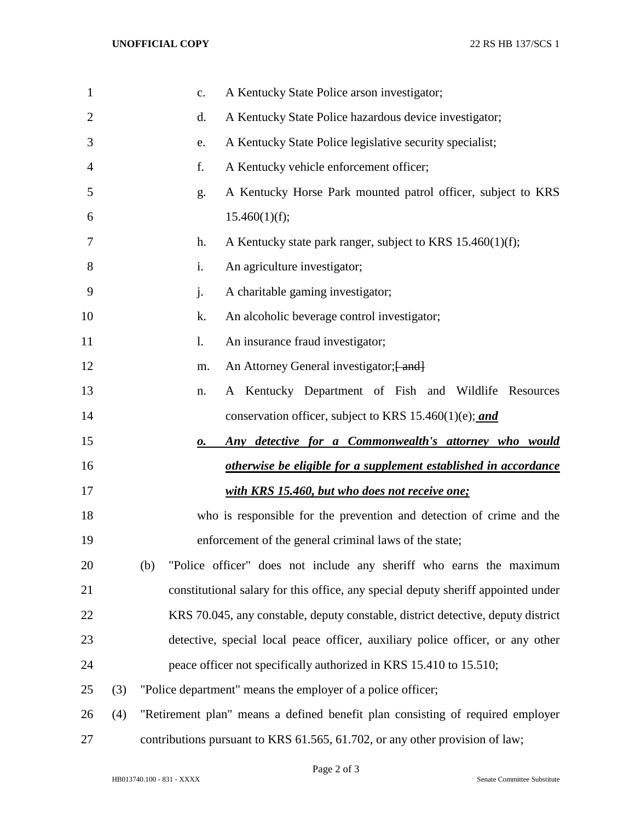| 1              |     | A Kentucky State Police arson investigator;<br>c.                                 |
|----------------|-----|-----------------------------------------------------------------------------------|
| $\overline{2}$ |     | A Kentucky State Police hazardous device investigator;<br>d.                      |
| 3              |     | A Kentucky State Police legislative security specialist;<br>e.                    |
| 4              |     | A Kentucky vehicle enforcement officer;<br>f.                                     |
| 5              |     | A Kentucky Horse Park mounted patrol officer, subject to KRS<br>g.                |
| 6              |     | 15.460(1)(f);                                                                     |
| 7              |     | h.<br>A Kentucky state park ranger, subject to KRS 15.460(1)(f);                  |
| 8              |     | i.<br>An agriculture investigator;                                                |
| 9              |     | j.<br>A charitable gaming investigator;                                           |
| 10             |     | k.<br>An alcoholic beverage control investigator;                                 |
| 11             |     | An insurance fraud investigator;<br>1.                                            |
| 12             |     | An Attorney General investigator; [ and]<br>m.                                    |
| 13             |     | A Kentucky Department of Fish and Wildlife Resources<br>n.                        |
| 14             |     | conservation officer, subject to KRS 15.460(1)(e); and                            |
| 15             |     | Any detective for a Commonwealth's attorney who would<br>о.                       |
| 16             |     | otherwise be eligible for a supplement established in accordance                  |
| 17             |     | with KRS 15.460, but who does not receive one;                                    |
| 18             |     | who is responsible for the prevention and detection of crime and the              |
| 19             |     | enforcement of the general criminal laws of the state;                            |
| 20             |     | "Police officer" does not include any sheriff who earns the maximum<br>(b)        |
| 21             |     | constitutional salary for this office, any special deputy sheriff appointed under |
| 22             |     | KRS 70.045, any constable, deputy constable, district detective, deputy district  |
| 23             |     | detective, special local peace officer, auxiliary police officer, or any other    |
| 24             |     | peace officer not specifically authorized in KRS 15.410 to 15.510;                |
| 25             | (3) | "Police department" means the employer of a police officer;                       |
| 26             | (4) | "Retirement plan" means a defined benefit plan consisting of required employer    |
| 27             |     | contributions pursuant to KRS 61.565, 61.702, or any other provision of law;      |